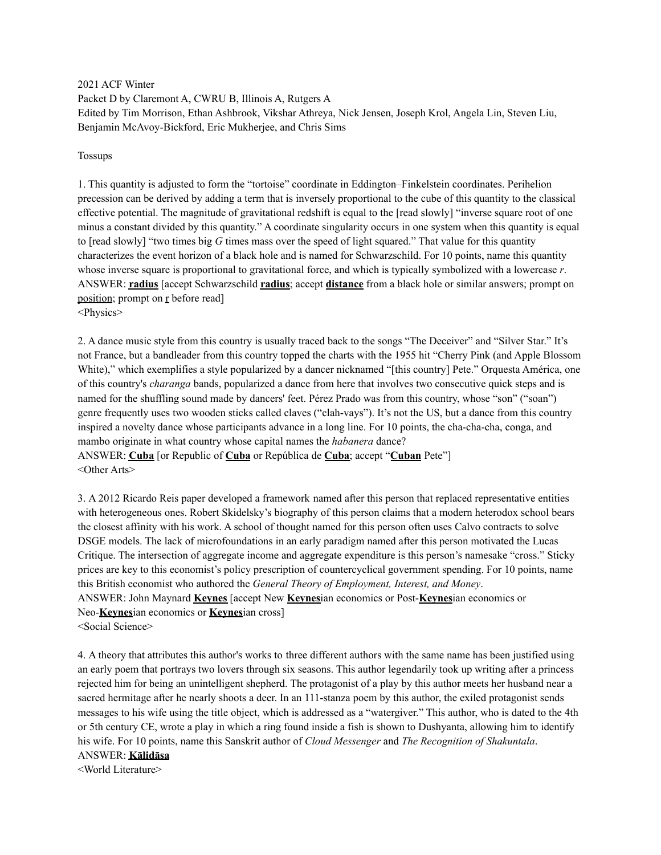2021 ACF Winter Packet D by Claremont A, CWRU B, Illinois A, Rutgers A Edited by Tim Morrison, Ethan Ashbrook, Vikshar Athreya, Nick Jensen, Joseph Krol, Angela Lin, Steven Liu, Benjamin McAvoy-Bickford, Eric Mukherjee, and Chris Sims

#### Tossups

1. This quantity is adjusted to form the "tortoise" coordinate in Eddington–Finkelstein coordinates. Perihelion precession can be derived by adding a term that is inversely proportional to the cube of this quantity to the classical effective potential. The magnitude of gravitational redshift is equal to the [read slowly] "inverse square root of one minus a constant divided by this quantity." A coordinate singularity occurs in one system when this quantity is equal to [read slowly] "two times big *G* times mass over the speed of light squared." That value for this quantity characterizes the event horizon of a black hole and is named for Schwarzschild. For 10 points, name this quantity whose inverse square is proportional to gravitational force, and which is typically symbolized with a lowercase *r*. ANSWER: **radius** [accept Schwarzschild **radius**; accept **distance** from a black hole or similar answers; prompt on position; prompt on r before read] <Physics>

2. A dance music style from this country is usually traced back to the songs "The Deceiver" and "Silver Star." It's not France, but a bandleader from this country topped the charts with the 1955 hit "Cherry Pink (and Apple Blossom White)," which exemplifies a style popularized by a dancer nicknamed "[this country] Pete." Orquesta América, one of this country's *charanga* bands, popularized a dance from here that involves two consecutive quick steps and is named for the shuffling sound made by dancers' feet. Pérez Prado was from this country, whose "son" ("soan") genre frequently uses two wooden sticks called claves ("clah-vays"). It's not the US, but a dance from this country inspired a novelty dance whose participants advance in a long line. For 10 points, the cha-cha-cha, conga, and mambo originate in what country whose capital names the *habanera* dance?

ANSWER: **Cuba** [or Republic of **Cuba** or República de **Cuba**; accept "**Cuban** Pete"] <Other Arts>

3. A 2012 Ricardo Reis paper developed a framework named after this person that replaced representative entities with heterogeneous ones. Robert Skidelsky's biography of this person claims that a modern heterodox school bears the closest affinity with his work. A school of thought named for this person often uses Calvo contracts to solve DSGE models. The lack of microfoundations in an early paradigm named after this person motivated the Lucas Critique. The intersection of aggregate income and aggregate expenditure is this person's namesake "cross." Sticky prices are key to this economist's policy prescription of countercyclical government spending. For 10 points, name this British economist who authored the *General Theory of Employment, Interest, and Money*. ANSWER: John Maynard **Keynes** [accept New **Keynes**ian economics or Post-**Keynes**ian economics or Neo-**Keynes**ian economics or **Keynes**ian cross]

<Social Science>

4. A theory that attributes this author's works to three different authors with the same name has been justified using an early poem that portrays two lovers through six seasons. This author legendarily took up writing after a princess rejected him for being an unintelligent shepherd. The protagonist of a play by this author meets her husband near a sacred hermitage after he nearly shoots a deer. In an 111-stanza poem by this author, the exiled protagonist sends messages to his wife using the title object, which is addressed as a "watergiver." This author, who is dated to the 4th or 5th century CE, wrote a play in which a ring found inside a fish is shown to Dushyanta, allowing him to identify his wife. For 10 points, name this Sanskrit author of *Cloud Messenger* and *The Recognition of Shakuntala*.

### ANSWER: **Kālidāsa**

<World Literature>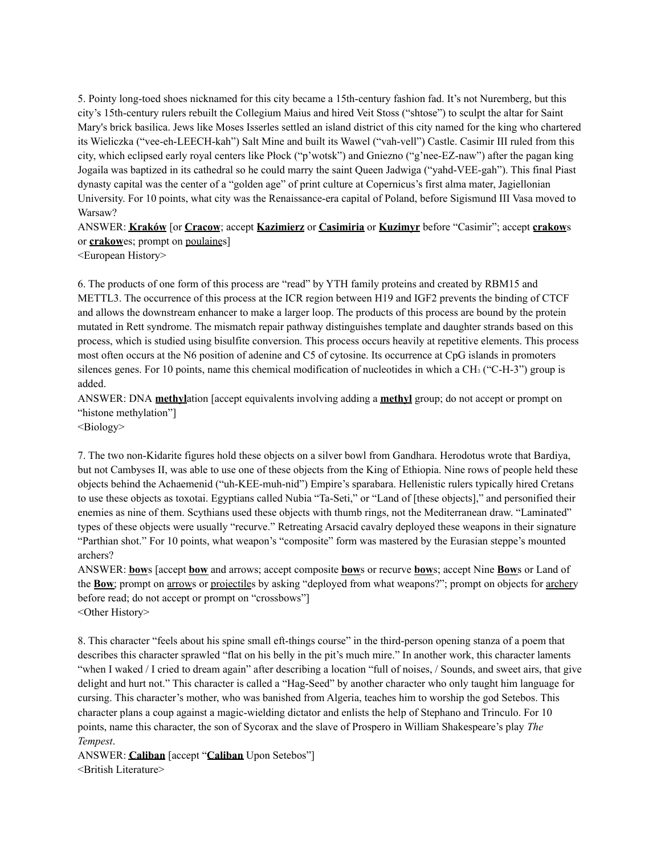5. Pointy long-toed shoes nicknamed for this city became a 15th-century fashion fad. It's not Nuremberg, but this city's 15th-century rulers rebuilt the Collegium Maius and hired Veit Stoss ("shtose") to sculpt the altar for Saint Mary's brick basilica. Jews like Moses Isserles settled an island district of this city named for the king who chartered its Wieliczka ("vee-eh-LEECH-kah") Salt Mine and built its Wawel ("vah-vell") Castle. Casimir III ruled from this city, which eclipsed early royal centers like Płock ("p'wotsk") and Gniezno ("g'nee-EZ-naw") after the pagan king Jogaila was baptized in its cathedral so he could marry the saint Queen Jadwiga ("yahd-VEE-gah"). This final Piast dynasty capital was the center of a "golden age" of print culture at Copernicus's first alma mater, Jagiellonian University. For 10 points, what city was the Renaissance-era capital of Poland, before Sigismund III Vasa moved to Warsaw?

ANSWER: **Kraków** [or **Cracow**; accept **Kazimierz** or **Casimiria** or **Kuzimyr** before "Casimir"; accept **crakow**s or **crakow**es; prompt on poulaines]

<European History>

6. The products of one form of this process are "read" by YTH family proteins and created by RBM15 and METTL3. The occurrence of this process at the ICR region between H19 and IGF2 prevents the binding of CTCF and allows the downstream enhancer to make a larger loop. The products of this process are bound by the protein mutated in Rett syndrome. The mismatch repair pathway distinguishes template and daughter strands based on this process, which is studied using bisulfite conversion. This process occurs heavily at repetitive elements. This process most often occurs at the N6 position of adenine and C5 of cytosine. Its occurrence at CpG islands in promoters silences genes. For 10 points, name this chemical modification of nucleotides in which a CH3 ("C-H-3") group is added.

ANSWER: DNA **methyl**ation [accept equivalents involving adding a **methyl** group; do not accept or prompt on "histone methylation"]

<Biology>

7. The two non-Kidarite figures hold these objects on a silver bowl from Gandhara. Herodotus wrote that Bardiya, but not Cambyses II, was able to use one of these objects from the King of Ethiopia. Nine rows of people held these objects behind the Achaemenid ("uh-KEE-muh-nid") Empire's sparabara. Hellenistic rulers typically hired Cretans to use these objects as toxotai. Egyptians called Nubia "Ta-Seti," or "Land of [these objects]," and personified their enemies as nine of them. Scythians used these objects with thumb rings, not the Mediterranean draw. "Laminated" types of these objects were usually "recurve." Retreating Arsacid cavalry deployed these weapons in their signature "Parthian shot." For 10 points, what weapon's "composite" form was mastered by the Eurasian steppe's mounted archers?

ANSWER: **bow**s [accept **bow** and arrows; accept composite **bow**s or recurve **bow**s; accept Nine **Bow**s or Land of the **Bow**; prompt on arrows or projectiles by asking "deployed from what weapons?"; prompt on objects for archery before read; do not accept or prompt on "crossbows"] <Other History>

8. This character "feels about his spine small eft-things course" in the third-person opening stanza of a poem that describes this character sprawled "flat on his belly in the pit's much mire." In another work, this character laments "when I waked / I cried to dream again" after describing a location "full of noises, / Sounds, and sweet airs, that give delight and hurt not." This character is called a "Hag-Seed" by another character who only taught him language for cursing. This character's mother, who was banished from Algeria, teaches him to worship the god Setebos. This character plans a coup against a magic-wielding dictator and enlists the help of Stephano and Trinculo. For 10 points, name this character, the son of Sycorax and the slave of Prospero in William Shakespeare's play *The Tempest*.

ANSWER: **Caliban** [accept "**Caliban** Upon Setebos"] <British Literature>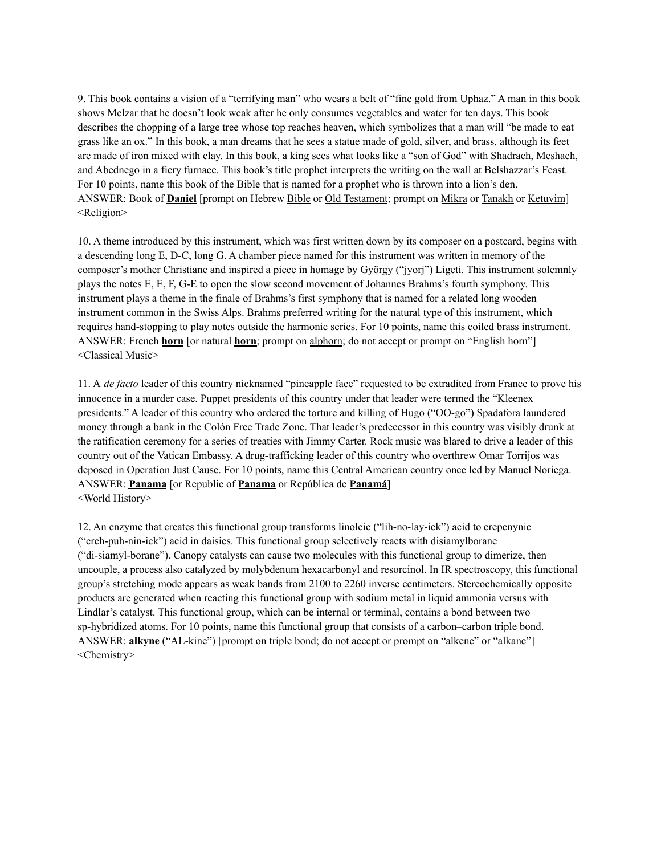9. This book contains a vision of a "terrifying man" who wears a belt of "fine gold from Uphaz." A man in this book shows Melzar that he doesn't look weak after he only consumes vegetables and water for ten days. This book describes the chopping of a large tree whose top reaches heaven, which symbolizes that a man will "be made to eat grass like an ox." In this book, a man dreams that he sees a statue made of gold, silver, and brass, although its feet are made of iron mixed with clay. In this book, a king sees what looks like a "son of God" with Shadrach, Meshach, and Abednego in a fiery furnace. This book's title prophet interprets the writing on the wall at Belshazzar's Feast. For 10 points, name this book of the Bible that is named for a prophet who is thrown into a lion's den. ANSWER: Book of **Daniel** [prompt on Hebrew Bible or Old Testament; prompt on Mikra or Tanakh or Ketuvim] <Religion>

10. A theme introduced by this instrument, which was first written down by its composer on a postcard, begins with a descending long E, D-C, long G. A chamber piece named for this instrument was written in memory of the composer's mother Christiane and inspired a piece in homage by György ("jyorj") Ligeti. This instrument solemnly plays the notes E, E, F, G-E to open the slow second movement of Johannes Brahms's fourth symphony. This instrument plays a theme in the finale of Brahms's first symphony that is named for a related long wooden instrument common in the Swiss Alps. Brahms preferred writing for the natural type of this instrument, which requires hand-stopping to play notes outside the harmonic series. For 10 points, name this coiled brass instrument. ANSWER: French **horn** [or natural **horn**; prompt on alphorn; do not accept or prompt on "English horn"] <Classical Music>

11. A *de facto* leader of this country nicknamed "pineapple face" requested to be extradited from France to prove his innocence in a murder case. Puppet presidents of this country under that leader were termed the "Kleenex presidents." A leader of this country who ordered the torture and killing of Hugo ("OO-go") Spadafora laundered money through a bank in the Colón Free Trade Zone. That leader's predecessor in this country was visibly drunk at the ratification ceremony for a series of treaties with Jimmy Carter. Rock music was blared to drive a leader of this country out of the Vatican Embassy. A drug-trafficking leader of this country who overthrew Omar Torrijos was deposed in Operation Just Cause. For 10 points, name this Central American country once led by Manuel Noriega. ANSWER: **Panama** [or Republic of **Panama** or República de **Panamá**] <World History>

12. An enzyme that creates this functional group transforms linoleic ("lih-no-lay-ick") acid to crepenynic ("creh-puh-nin-ick") acid in daisies. This functional group selectively reacts with disiamylborane ("di-siamyl-borane"). Canopy catalysts can cause two molecules with this functional group to dimerize, then uncouple, a process also catalyzed by molybdenum hexacarbonyl and resorcinol. In IR spectroscopy, this functional group's stretching mode appears as weak bands from 2100 to 2260 inverse centimeters. Stereochemically opposite products are generated when reacting this functional group with sodium metal in liquid ammonia versus with Lindlar's catalyst. This functional group, which can be internal or terminal, contains a bond between two sp-hybridized atoms. For 10 points, name this functional group that consists of a carbon–carbon triple bond. ANSWER: **alkyne** ("AL-kine") [prompt on triple bond; do not accept or prompt on "alkene" or "alkane"] <Chemistry>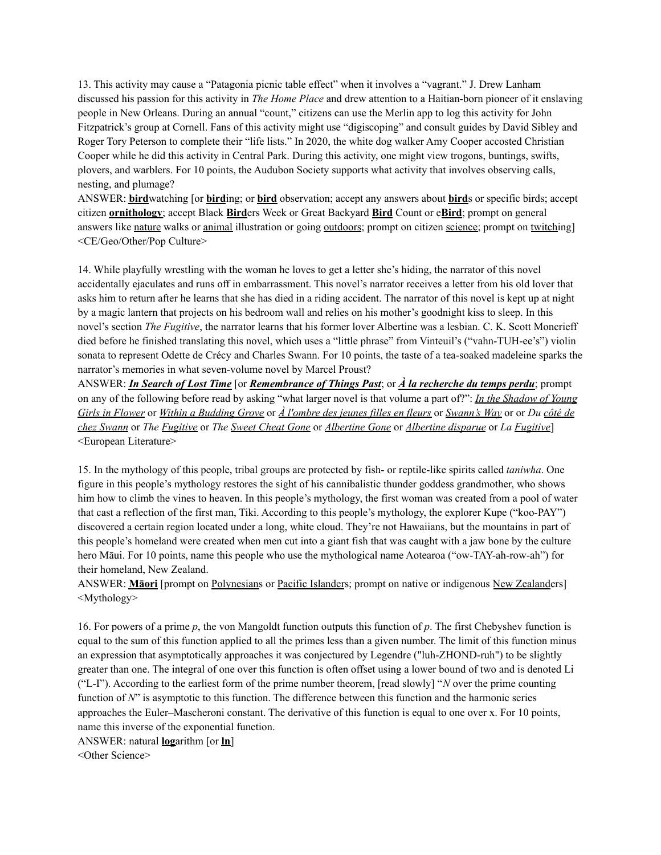13. This activity may cause a "Patagonia picnic table effect" when it involves a "vagrant." J. Drew Lanham discussed his passion for this activity in *The Home Place* and drew attention to a Haitian-born pioneer of it enslaving people in New Orleans. During an annual "count," citizens can use the Merlin app to log this activity for John Fitzpatrick's group at Cornell. Fans of this activity might use "digiscoping" and consult guides by David Sibley and Roger Tory Peterson to complete their "life lists." In 2020, the white dog walker Amy Cooper accosted Christian Cooper while he did this activity in Central Park. During this activity, one might view trogons, buntings, swifts, plovers, and warblers. For 10 points, the Audubon Society supports what activity that involves observing calls, nesting, and plumage?

ANSWER: **bird**watching [or **bird**ing; or **bird** observation; accept any answers about **bird**s or specific birds; accept citizen **ornithology**; accept Black **Bird**ers Week or Great Backyard **Bird** Count or e**Bird**; prompt on general answers like nature walks or animal illustration or going outdoors; prompt on citizen science; prompt on twitching <CE/Geo/Other/Pop Culture>

14. While playfully wrestling with the woman he loves to get a letter she's hiding, the narrator of this novel accidentally ejaculates and runs off in embarrassment. This novel's narrator receives a letter from his old lover that asks him to return after he learns that she has died in a riding accident. The narrator of this novel is kept up at night by a magic lantern that projects on his bedroom wall and relies on his mother's goodnight kiss to sleep. In this novel's section *The Fugitive*, the narrator learns that his former lover Albertine was a lesbian. C. K. Scott Moncrieff died before he finished translating this novel, which uses a "little phrase" from Vinteuil's ("vahn-TUH-ee's") violin sonata to represent Odette de Crécy and Charles Swann. For 10 points, the taste of a tea-soaked madeleine sparks the narrator's memories in what seven-volume novel by Marcel Proust?

ANSWER: *In Search of Lost Time* [or *Remembrance of Things Past*; or *À la recherche du temps perdu*; prompt on any of the following before read by asking "what larger novel is that volume a part of?": *In the Shadow of Young* Girls in Flower or Within a Budding Grove or  $\hat{A}$  l'ombre des jeunes filles en fleurs or Swann's Way or or Du côté de *chez Swann* or *The Fugitive* or *The Sweet Cheat Gone* or *Albertine Gone* or *Albertine disparue* or *La Fugitive*] <European Literature>

15. In the mythology of this people, tribal groups are protected by fish- or reptile-like spirits called *taniwha*. One figure in this people's mythology restores the sight of his cannibalistic thunder goddess grandmother, who shows him how to climb the vines to heaven. In this people's mythology, the first woman was created from a pool of water that cast a reflection of the first man, Tiki. According to this people's mythology, the explorer Kupe ("koo-PAY") discovered a certain region located under a long, white cloud. They're not Hawaiians, but the mountains in part of this people's homeland were created when men cut into a giant fish that was caught with a jaw bone by the culture hero Māui. For 10 points, name this people who use the mythological name Aotearoa ("ow-TAY-ah-row-ah") for their homeland, New Zealand.

ANSWER: **Māori** [prompt on Polynesians or Pacific Islanders; prompt on native or indigenous New Zealanders] <Mythology>

16. For powers of a prime *p*, the von Mangoldt function outputs this function of *p*. The first Chebyshev function is equal to the sum of this function applied to all the primes less than a given number. The limit of this function minus an expression that asymptotically approaches it was conjectured by Legendre ("luh-ZHOND-ruh") to be slightly greater than one. The integral of one over this function is often offset using a lower bound of two and is denoted Li ("L-I"). According to the earliest form of the prime number theorem, [read slowly] "*N* over the prime counting function of *N*" is asymptotic to this function. The difference between this function and the harmonic series approaches the Euler–Mascheroni constant. The derivative of this function is equal to one over x. For 10 points, name this inverse of the exponential function.

ANSWER: natural **log**arithm [or **ln**]

<Other Science>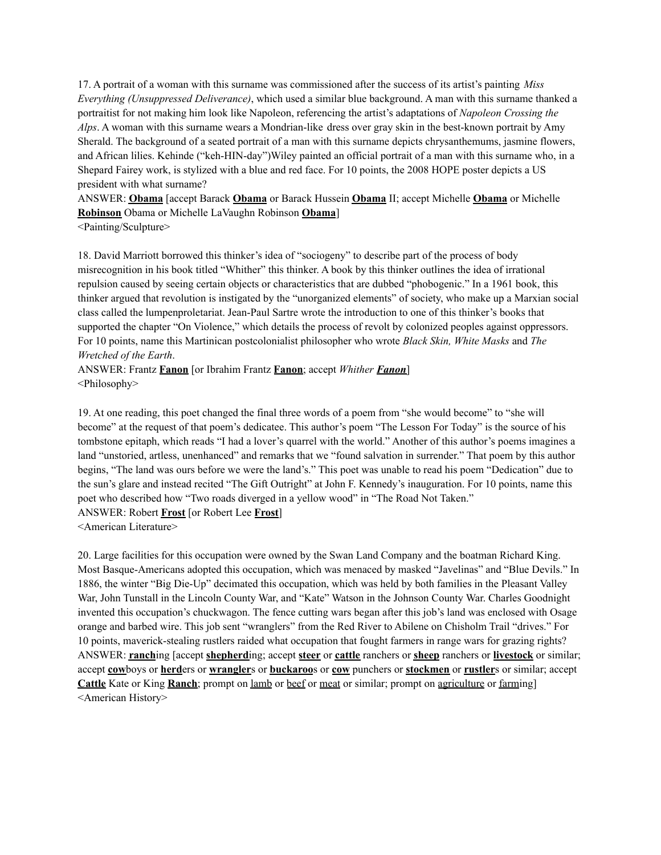17. A portrait of a woman with this surname was commissioned after the success of its artist's painting *Miss Everything (Unsuppressed Deliverance)*, which used a similar blue background. A man with this surname thanked a portraitist for not making him look like Napoleon, referencing the artist's adaptations of *Napoleon Crossing the Alps*. A woman with this surname wears a Mondrian-like dress over gray skin in the best-known portrait by Amy Sherald. The background of a seated portrait of a man with this surname depicts chrysanthemums, jasmine flowers, and African lilies. Kehinde ("keh-HIN-day")Wiley painted an official portrait of a man with this surname who, in a Shepard Fairey work, is stylized with a blue and red face. For 10 points, the 2008 HOPE poster depicts a US president with what surname?

ANSWER: **Obama** [accept Barack **Obama** or Barack Hussein **Obama** II; accept Michelle **Obama** or Michelle **Robinson** Obama or Michelle LaVaughn Robinson **Obama**]

<Painting/Sculpture>

18. David Marriott borrowed this thinker's idea of "sociogeny" to describe part of the process of body misrecognition in his book titled "Whither" this thinker. A book by this thinker outlines the idea of irrational repulsion caused by seeing certain objects or characteristics that are dubbed "phobogenic." In a 1961 book, this thinker argued that revolution is instigated by the "unorganized elements" of society, who make up a Marxian social class called the lumpenproletariat. Jean-Paul Sartre wrote the introduction to one of this thinker's books that supported the chapter "On Violence," which details the process of revolt by colonized peoples against oppressors. For 10 points, name this Martinican postcolonialist philosopher who wrote *Black Skin, White Masks* and *The Wretched of the Earth*.

ANSWER: Frantz **Fanon** [or Ibrahim Frantz **Fanon**; accept *Whither Fanon*] <Philosophy>

19. At one reading, this poet changed the final three words of a poem from "she would become" to "she will become" at the request of that poem's dedicatee. This author's poem "The Lesson For Today" is the source of his tombstone epitaph, which reads "I had a lover's quarrel with the world." Another of this author's poems imagines a land "unstoried, artless, unenhanced" and remarks that we "found salvation in surrender." That poem by this author begins, "The land was ours before we were the land's." This poet was unable to read his poem "Dedication" due to the sun's glare and instead recited "The Gift Outright" at John F. Kennedy's inauguration. For 10 points, name this poet who described how "Two roads diverged in a yellow wood" in "The Road Not Taken." ANSWER: Robert **Frost** [or Robert Lee **Frost**]

<American Literature>

20. Large facilities for this occupation were owned by the Swan Land Company and the boatman Richard King. Most Basque-Americans adopted this occupation, which was menaced by masked "Javelinas" and "Blue Devils." In 1886, the winter "Big Die-Up" decimated this occupation, which was held by both families in the Pleasant Valley War, John Tunstall in the Lincoln County War, and "Kate" Watson in the Johnson County War. Charles Goodnight invented this occupation's chuckwagon. The fence cutting wars began after this job's land was enclosed with Osage orange and barbed wire. This job sent "wranglers" from the Red River to Abilene on Chisholm Trail "drives." For 10 points, maverick-stealing rustlers raided what occupation that fought farmers in range wars for grazing rights? ANSWER: **ranch**ing [accept **shepherd**ing; accept **steer** or **cattle** ranchers or **sheep** ranchers or **livestock** or similar; accept **cow**boys or **herd**ers or **wrangler**s or **buckaroo**s or **cow** punchers or **stockmen** or **rustler**s or similar; accept **Cattle** Kate or King **Ranch**; prompt on lamb or beef or meat or similar; prompt on agriculture or farming] <American History>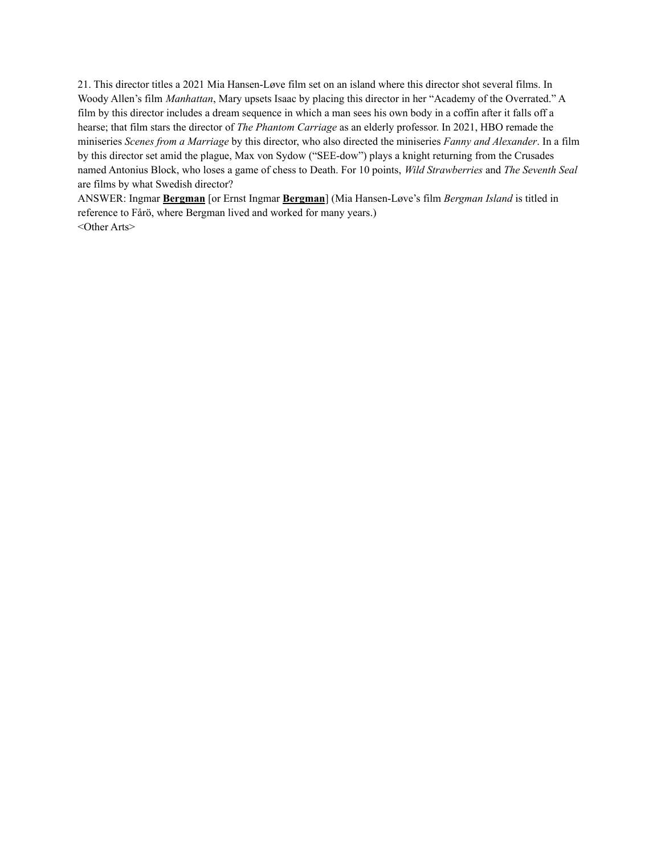21. This director titles a 2021 Mia Hansen-Løve film set on an island where this director shot several films. In Woody Allen's film *Manhattan*, Mary upsets Isaac by placing this director in her "Academy of the Overrated." A film by this director includes a dream sequence in which a man sees his own body in a coffin after it falls off a hearse; that film stars the director of *The Phantom Carriage* as an elderly professor. In 2021, HBO remade the miniseries *Scenes from a Marriage* by this director, who also directed the miniseries *Fanny and Alexander*. In a film by this director set amid the plague, Max von Sydow ("SEE-dow") plays a knight returning from the Crusades named Antonius Block, who loses a game of chess to Death. For 10 points, *Wild Strawberries* and *The Seventh Seal* are films by what Swedish director?

ANSWER: Ingmar **Bergman** [or Ernst Ingmar **Bergman**] (Mia Hansen-Løve's film *Bergman Island* is titled in reference to Fårö, where Bergman lived and worked for many years.) <Other Arts>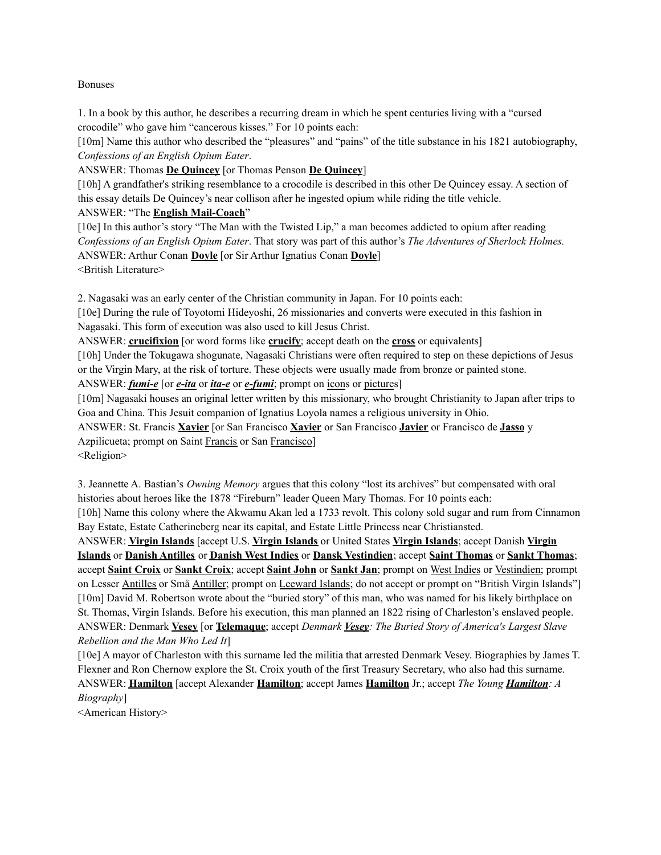#### Bonuses

1. In a book by this author, he describes a recurring dream in which he spent centuries living with a "cursed crocodile" who gave him "cancerous kisses." For 10 points each:

[10m] Name this author who described the "pleasures" and "pains" of the title substance in his 1821 autobiography, *Confessions of an English Opium Eater*.

ANSWER: Thomas **De Quincey** [or Thomas Penson **De Quincey**]

[10h] A grandfather's striking resemblance to a crocodile is described in this other De Quincey essay. A section of this essay details De Quincey's near collison after he ingested opium while riding the title vehicle. ANSWER: "The **English Mail-Coach**"

[10e] In this author's story "The Man with the Twisted Lip," a man becomes addicted to opium after reading *Confessions of an English Opium Eater*. That story was part of this author's *The Adventures of Sherlock Holmes.* ANSWER: Arthur Conan **Doyle** [or Sir Arthur Ignatius Conan **Doyle**] <British Literature>

2. Nagasaki was an early center of the Christian community in Japan. For 10 points each:

[10e] During the rule of Toyotomi Hideyoshi, 26 missionaries and converts were executed in this fashion in Nagasaki. This form of execution was also used to kill Jesus Christ.

ANSWER: **crucifixion** [or word forms like **crucify**; accept death on the **cross** or equivalents]

[10h] Under the Tokugawa shogunate, Nagasaki Christians were often required to step on these depictions of Jesus or the Virgin Mary, at the risk of torture. These objects were usually made from bronze or painted stone.

ANSWER: *fumi-e* [or *e-ita* or *ita-e* or *e-fumi*; prompt on icons or pictures]

[10m] Nagasaki houses an original letter written by this missionary, who brought Christianity to Japan after trips to Goa and China. This Jesuit companion of Ignatius Loyola names a religious university in Ohio.

ANSWER: St. Francis **Xavier** [or San Francisco **Xavier** or San Francisco **Javier** or Francisco de **Jasso** y Azpilicueta; prompt on Saint Francis or San Francisco]

<Religion>

3. Jeannette A. Bastian's *Owning Memory* argues that this colony "lost its archives" but compensated with oral histories about heroes like the 1878 "Fireburn" leader Queen Mary Thomas. For 10 points each:

[10h] Name this colony where the Akwamu Akan led a 1733 revolt. This colony sold sugar and rum from Cinnamon Bay Estate, Estate Catherineberg near its capital, and Estate Little Princess near Christiansted.

ANSWER: **Virgin Islands** [accept U.S. **Virgin Islands** or United States **Virgin Islands**; accept Danish **Virgin Islands** or **Danish Antilles** or **Danish West Indies** or **Dansk Vestindien**; accept **Saint Thomas** or **Sankt Thomas**; accept **Saint Croix** or **Sankt Croix**; accept **Saint John** or **Sankt Jan**; prompt on West Indies or Vestindien; prompt on Lesser Antilles or Små Antiller; prompt on Leeward Islands; do not accept or prompt on "British Virgin Islands"] [10m] David M. Robertson wrote about the "buried story" of this man, who was named for his likely birthplace on St. Thomas, Virgin Islands. Before his execution, this man planned an 1822 rising of Charleston's enslaved people. ANSWER: Denmark **Vesey** [or **Telemaque**; accept *Denmark Vesey: The Buried Story of America's Largest Slave Rebellion and the Man Who Led It*]

[10e] A mayor of Charleston with this surname led the militia that arrested Denmark Vesey. Biographies by James T. Flexner and Ron Chernow explore the St. Croix youth of the first Treasury Secretary, who also had this surname. ANSWER: **Hamilton** [accept Alexander **Hamilton**; accept James **Hamilton** Jr.; accept *The Young Hamilton: A Biography*]

<American History>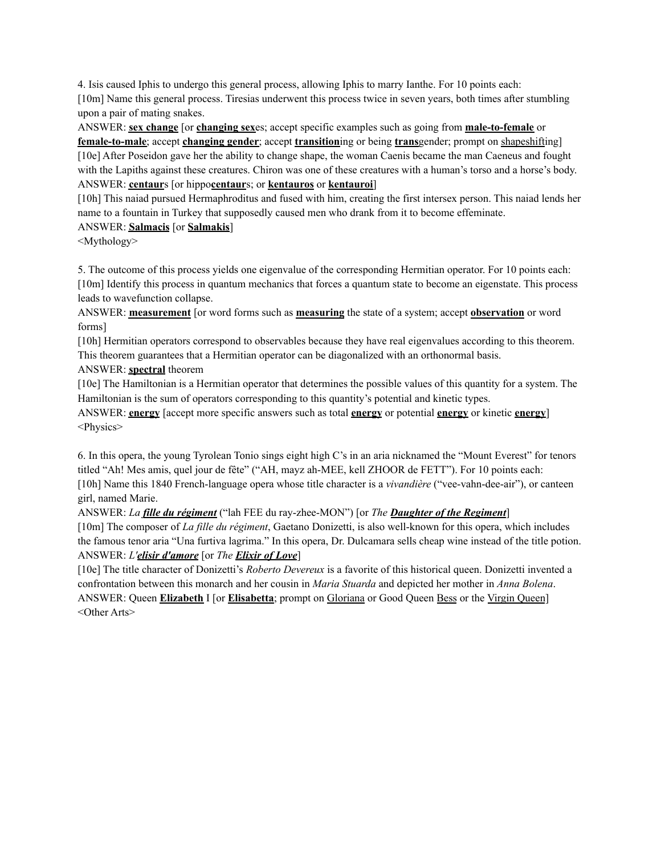4. Isis caused Iphis to undergo this general process, allowing Iphis to marry Ianthe. For 10 points each: [10m] Name this general process. Tiresias underwent this process twice in seven years, both times after stumbling upon a pair of mating snakes.

ANSWER: **sex change** [or **changing sex**es; accept specific examples such as going from **male-to-female** or **female-to-male**; accept **changing gender**; accept **transition**ing or being **trans**gender; prompt on shapeshifting] [10e] After Poseidon gave her the ability to change shape, the woman Caenis became the man Caeneus and fought with the Lapiths against these creatures. Chiron was one of these creatures with a human's torso and a horse's body. ANSWER: **centaur**s [or hippo**centaur**s; or **kentauros** or **kentauroi**]

[10h] This naiad pursued Hermaphroditus and fused with him, creating the first intersex person. This naiad lends her name to a fountain in Turkey that supposedly caused men who drank from it to become effeminate.

# ANSWER: **Salmacis** [or **Salmakis**]

<Mythology>

5. The outcome of this process yields one eigenvalue of the corresponding Hermitian operator. For 10 points each: [10m] Identify this process in quantum mechanics that forces a quantum state to become an eigenstate. This process leads to wavefunction collapse.

ANSWER: **measurement** [or word forms such as **measuring** the state of a system; accept **observation** or word forms]

[10h] Hermitian operators correspond to observables because they have real eigenvalues according to this theorem. This theorem guarantees that a Hermitian operator can be diagonalized with an orthonormal basis.

ANSWER: **spectral** theorem

[10e] The Hamiltonian is a Hermitian operator that determines the possible values of this quantity for a system. The Hamiltonian is the sum of operators corresponding to this quantity's potential and kinetic types.

ANSWER: **energy** [accept more specific answers such as total **energy** or potential **energy** or kinetic **energy**] <Physics>

6. In this opera, the young Tyrolean Tonio sings eight high C's in an aria nicknamed the "Mount Everest" for tenors titled "Ah! Mes amis, quel jour de fête" ("AH, mayz ah-MEE, kell ZHOOR de FETT"). For 10 points each: [10h] Name this 1840 French-language opera whose title character is a *vivandière* ("vee-vahn-dee-air"), or canteen girl, named Marie.

ANSWER: *La fille du régiment* ("lah FEE du ray-zhee-MON") [or *The Daughter of the Regiment*]

[10m] The composer of *La fille du régiment*, Gaetano Donizetti, is also well-known for this opera, which includes the famous tenor aria "Una furtiva lagrima." In this opera, Dr. Dulcamara sells cheap wine instead of the title potion. ANSWER: *L'elisir d'amore* [or *The Elixir of Love*]

[10e] The title character of Donizetti's *Roberto Devereux* is a favorite of this historical queen. Donizetti invented a confrontation between this monarch and her cousin in *Maria Stuarda* and depicted her mother in *Anna Bolena*. ANSWER: Queen **Elizabeth** I [or **Elisabetta**; prompt on Gloriana or Good Queen Bess or the Virgin Queen] <Other Arts>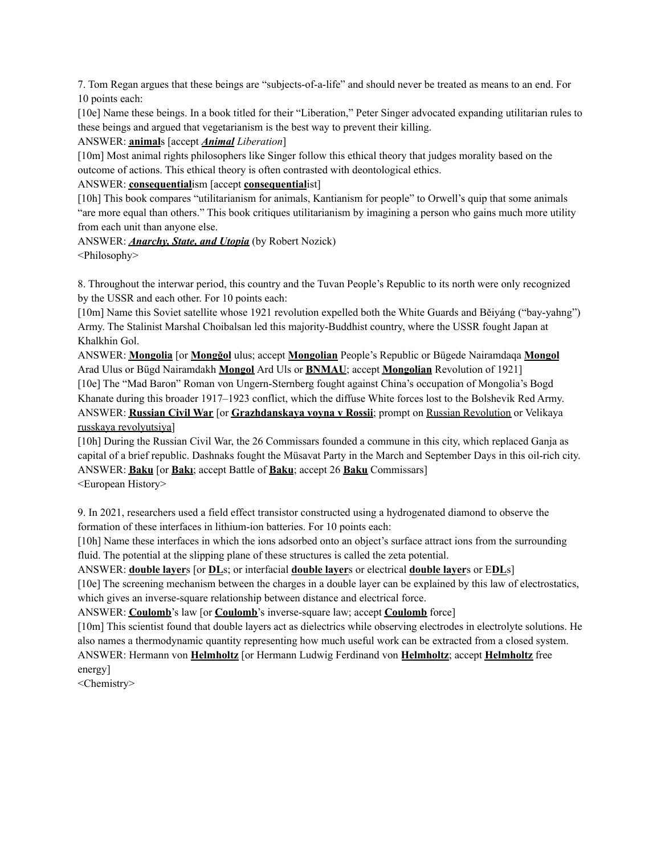7. Tom Regan argues that these beings are "subjects-of-a-life" and should never be treated as means to an end. For 10 points each:

[10e] Name these beings. In a book titled for their "Liberation," Peter Singer advocated expanding utilitarian rules to these beings and argued that vegetarianism is the best way to prevent their killing.

ANSWER: **animal**s [accept *Animal Liberation*]

[10m] Most animal rights philosophers like Singer follow this ethical theory that judges morality based on the outcome of actions. This ethical theory is often contrasted with deontological ethics.

# ANSWER: **consequential**ism [accept **consequential**ist]

[10h] This book compares "utilitarianism for animals, Kantianism for people" to Orwell's quip that some animals "are more equal than others." This book critiques utilitarianism by imagining a person who gains much more utility from each unit than anyone else.

# ANSWER: *Anarchy, State, and Utopia* (by Robert Nozick)

<Philosophy>

8. Throughout the interwar period, this country and the Tuvan People's Republic to its north were only recognized by the USSR and each other. For 10 points each:

[10m] Name this Soviet satellite whose 1921 revolution expelled both the White Guards and Běiyáng ("bay-yahng") Army. The Stalinist Marshal Choibalsan led this majority-Buddhist country, where the USSR fought Japan at Khalkhin Gol.

ANSWER: **Mongolia** [or **Mongğol** ulus; accept **Mongolian** People's Republic or Bügede Nairamdaqa **Mongol** Arad Ulus or Bügd Nairamdakh **Mongol** Ard Uls or **BNMAU**; accept **Mongolian** Revolution of 1921] [10e] The "Mad Baron" Roman von Ungern-Sternberg fought against China's occupation of Mongolia's Bogd Khanate during this broader 1917–1923 conflict, which the diffuse White forces lost to the Bolshevik Red Army. ANSWER: **Russian Civil War** [or **Grazhdanskaya voyna v Rossii**; prompt on Russian Revolution or Velikaya russkaya revolyutsiya]

[10h] During the Russian Civil War, the 26 Commissars founded a commune in this city, which replaced Ganja as capital of a brief republic. Dashnaks fought the Müsavat Party in the March and September Days in this oil-rich city. ANSWER: **Baku** [or **Bakı**; accept Battle of **Baku**; accept 26 **Baku** Commissars] <European History>

9. In 2021, researchers used a field effect transistor constructed using a hydrogenated diamond to observe the formation of these interfaces in lithium-ion batteries. For 10 points each:

[10h] Name these interfaces in which the ions adsorbed onto an object's surface attract ions from the surrounding fluid. The potential at the slipping plane of these structures is called the zeta potential.

# ANSWER: **double layer**s [or **DL**s; or interfacial **double layer**s or electrical **double layer**s or E**DL**s]

[10e] The screening mechanism between the charges in a double layer can be explained by this law of electrostatics, which gives an inverse-square relationship between distance and electrical force.

ANSWER: **Coulomb**'s law [or **Coulomb**'s inverse-square law; accept **Coulomb** force]

[10m] This scientist found that double layers act as dielectrics while observing electrodes in electrolyte solutions. He also names a thermodynamic quantity representing how much useful work can be extracted from a closed system. ANSWER: Hermann von **Helmholtz** [or Hermann Ludwig Ferdinand von **Helmholtz**; accept **Helmholtz** free energy]

<Chemistry>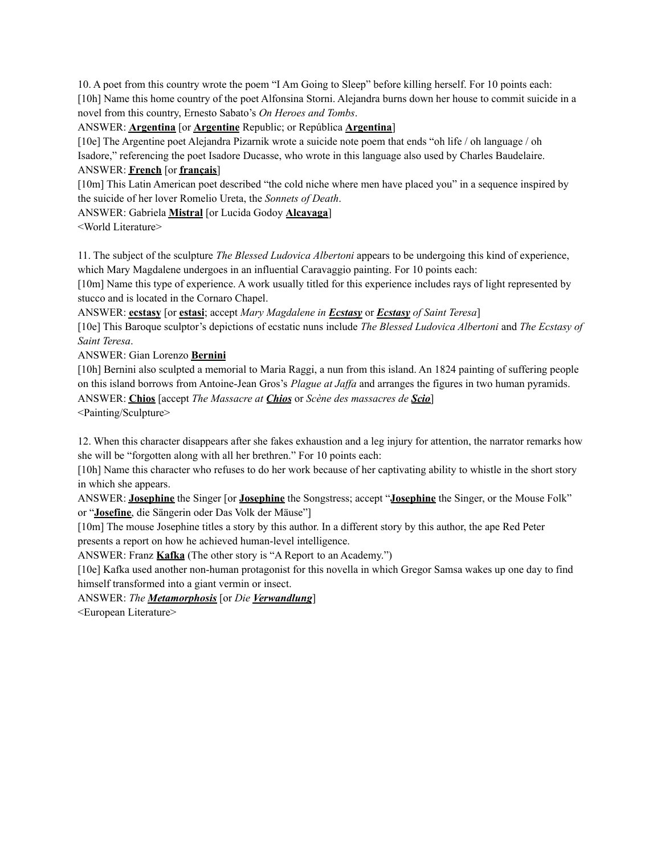10. A poet from this country wrote the poem "I Am Going to Sleep" before killing herself. For 10 points each: [10h] Name this home country of the poet Alfonsina Storni. Alejandra burns down her house to commit suicide in a novel from this country, Ernesto Sabato's *On Heroes and Tombs*.

ANSWER: **Argentina** [or **Argentine** Republic; or República **Argentina**]

[10e] The Argentine poet Alejandra Pizarnik wrote a suicide note poem that ends "oh life / oh language / oh Isadore," referencing the poet Isadore Ducasse, who wrote in this language also used by Charles Baudelaire.

# ANSWER: **French** [or **français**]

[10m] This Latin American poet described "the cold niche where men have placed you" in a sequence inspired by the suicide of her lover Romelio Ureta, the *Sonnets of Death*.

ANSWER: Gabriela **Mistral** [or Lucida Godoy **Alcayaga**]

<World Literature>

11. The subject of the sculpture *The Blessed Ludovica Albertoni* appears to be undergoing this kind of experience, which Mary Magdalene undergoes in an influential Caravaggio painting. For 10 points each:

[10m] Name this type of experience. A work usually titled for this experience includes rays of light represented by stucco and is located in the Cornaro Chapel.

ANSWER: **ecstasy** [or **estasi**; accept *Mary Magdalene in Ecstasy* or *Ecstasy of Saint Teresa*]

[10e] This Baroque sculptor's depictions of ecstatic nuns include *The Blessed Ludovica Albertoni* and *The Ecstasy of Saint Teresa*.

ANSWER: Gian Lorenzo **Bernini**

[10h] Bernini also sculpted a memorial to Maria Raggi, a nun from this island. An 1824 painting of suffering people on this island borrows from Antoine-Jean Gros's *Plague at Jaffa* and arranges the figures in two human pyramids. ANSWER: **Chios** [accept *The Massacre at Chios* or *Scène des massacres de Scio*] <Painting/Sculpture>

12. When this character disappears after she fakes exhaustion and a leg injury for attention, the narrator remarks how she will be "forgotten along with all her brethren." For 10 points each:

[10h] Name this character who refuses to do her work because of her captivating ability to whistle in the short story in which she appears.

ANSWER: **Josephine** the Singer [or **Josephine** the Songstress; accept "**Josephine** the Singer, or the Mouse Folk" or "**Josefine**, die Sängerin oder Das Volk der Mäuse"]

[10m] The mouse Josephine titles a story by this author. In a different story by this author, the ape Red Peter presents a report on how he achieved human-level intelligence.

ANSWER: Franz **Kafka** (The other story is "A Report to an Academy.")

[10e] Kafka used another non-human protagonist for this novella in which Gregor Samsa wakes up one day to find himself transformed into a giant vermin or insect.

ANSWER: *The Metamorphosis* [or *Die Verwandlung*]

<European Literature>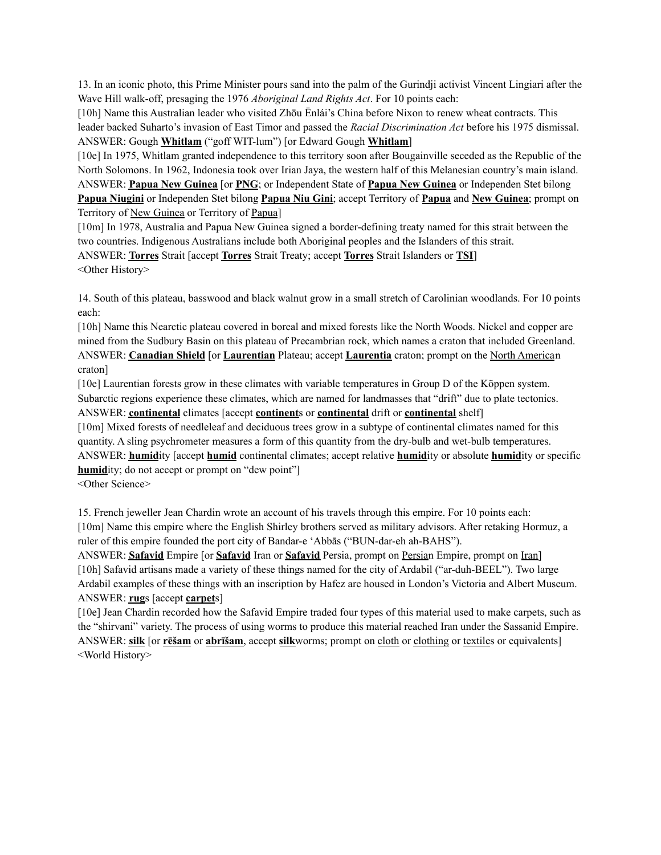13. In an iconic photo, this Prime Minister pours sand into the palm of the Gurindji activist Vincent Lingiari after the Wave Hill walk-off, presaging the 1976 *Aboriginal Land Rights Act*. For 10 points each:

[10h] Name this Australian leader who visited Zhōu Ēnlái's China before Nixon to renew wheat contracts. This leader backed Suharto's invasion of East Timor and passed the *Racial Discrimination Act* before his 1975 dismissal. ANSWER: Gough **Whitlam** ("goff WIT-lum") [or Edward Gough **Whitlam**]

[10e] In 1975, Whitlam granted independence to this territory soon after Bougainville seceded as the Republic of the North Solomons. In 1962, Indonesia took over Irian Jaya, the western half of this Melanesian country's main island. ANSWER: **Papua New Guinea** [or **PNG**; or Independent State of **Papua New Guinea** or Independen Stet bilong **Papua Niugini** or Independen Stet bilong **Papua Niu Gini**; accept Territory of **Papua** and **New Guinea**; prompt on

Territory of New Guinea or Territory of Papua]

[10m] In 1978, Australia and Papua New Guinea signed a border-defining treaty named for this strait between the two countries. Indigenous Australians include both Aboriginal peoples and the Islanders of this strait. ANSWER: **Torres** Strait [accept **Torres** Strait Treaty; accept **Torres** Strait Islanders or **TSI**] <Other History>

14. South of this plateau, basswood and black walnut grow in a small stretch of Carolinian woodlands. For 10 points each:

[10h] Name this Nearctic plateau covered in boreal and mixed forests like the North Woods. Nickel and copper are mined from the Sudbury Basin on this plateau of Precambrian rock, which names a craton that included Greenland. ANSWER: **Canadian Shield** [or **Laurentian** Plateau; accept **Laurentia** craton; prompt on the North American craton]

[10e] Laurentian forests grow in these climates with variable temperatures in Group D of the Köppen system. Subarctic regions experience these climates, which are named for landmasses that "drift" due to plate tectonics. ANSWER: **continental** climates [accept **continent**s or **continental** drift or **continental** shelf]

[10m] Mixed forests of needleleaf and deciduous trees grow in a subtype of continental climates named for this quantity. A sling psychrometer measures a form of this quantity from the dry-bulb and wet-bulb temperatures. ANSWER: **humid**ity [accept **humid** continental climates; accept relative **humid**ity or absolute **humid**ity or specific **humidity**; do not accept or prompt on "dew point"

<Other Science>

15. French jeweller Jean Chardin wrote an account of his travels through this empire. For 10 points each: [10m] Name this empire where the English Shirley brothers served as military advisors. After retaking Hormuz, a ruler of this empire founded the port city of Bandar-e 'Abbās ("BUN-dar-eh ah-BAHS").

ANSWER: **Safavid** Empire [or **Safavid** Iran or **Safavid** Persia, prompt on Persian Empire, prompt on Iran] [10h] Safavid artisans made a variety of these things named for the city of Ardabil ("ar-duh-BEEL"). Two large Ardabil examples of these things with an inscription by Hafez are housed in London's Victoria and Albert Museum. ANSWER: **rug**s [accept **carpet**s]

[10e] Jean Chardin recorded how the Safavid Empire traded four types of this material used to make carpets, such as the "shirvani" variety. The process of using worms to produce this material reached Iran under the Sassanid Empire. ANSWER: **silk** [or **rēšam** or **abrīšam**, accept **silk**worms; prompt on cloth or clothing or textiles or equivalents] <World History>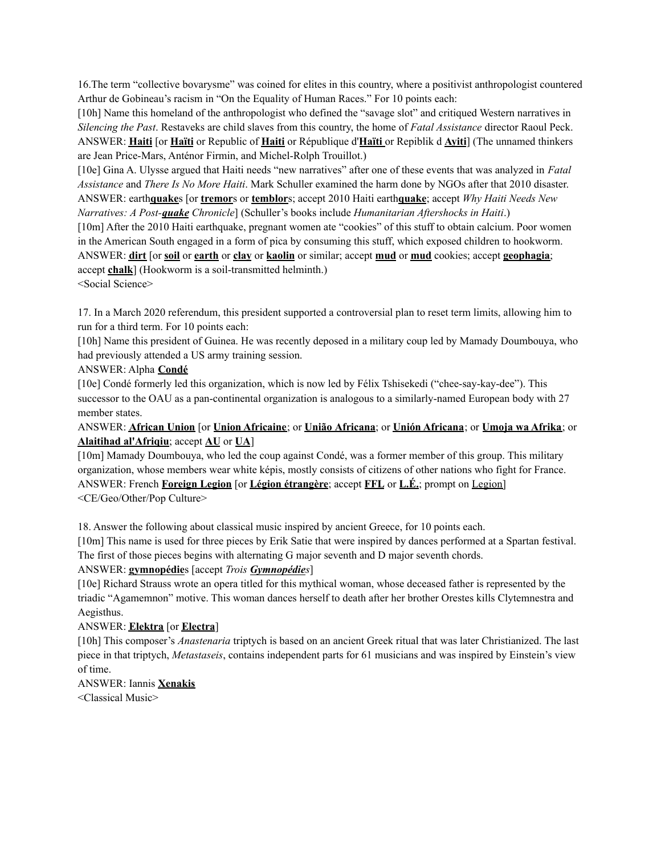16.The term "collective bovarysme" was coined for elites in this country, where a positivist anthropologist countered Arthur de Gobineau's racism in "On the Equality of Human Races." For 10 points each:

[10h] Name this homeland of the anthropologist who defined the "savage slot" and critiqued Western narratives in *Silencing the Past*. Restaveks are child slaves from this country, the home of *Fatal Assistance* director Raoul Peck. ANSWER: **Haiti** [or **Haïti** or Republic of **Haiti** or République d'**Haïti** or Repiblik d **Ayiti**] (The unnamed thinkers are Jean Price-Mars, Anténor Firmin, and Michel-Rolph Trouillot.)

[10e] Gina A. Ulysse argued that Haiti needs "new narratives" after one of these events that was analyzed in *Fatal Assistance* and *There Is No More Haiti*. Mark Schuller examined the harm done by NGOs after that 2010 disaster. ANSWER: earth**quake**s [or **tremor**s or **temblor**s; accept 2010 Haiti earth**quake**; accept *Why Haiti Needs New Narratives: A Post-quake Chronicle*] (Schuller's books include *Humanitarian Aftershocks in Haiti*.)

[10m] After the 2010 Haiti earthquake, pregnant women ate "cookies" of this stuff to obtain calcium. Poor women in the American South engaged in a form of pica by consuming this stuff, which exposed children to hookworm. ANSWER: **dirt** [or **soil** or **earth** or **clay** or **kaolin** or similar; accept **mud** or **mud** cookies; accept **geophagia**; accept **chalk**] (Hookworm is a soil-transmitted helminth.)

<Social Science>

17. In a March 2020 referendum, this president supported a controversial plan to reset term limits, allowing him to run for a third term. For 10 points each:

[10h] Name this president of Guinea. He was recently deposed in a military coup led by Mamady Doumbouya, who had previously attended a US army training session.

ANSWER: Alpha **Condé**

[10e] Condé formerly led this organization, which is now led by Félix Tshisekedi ("chee-say-kay-dee"). This successor to the OAU as a pan-continental organization is analogous to a similarly-named European body with 27 member states.

ANSWER: **African Union** [or **Union Africaine**; or **União Africana**; or **Unión Africana**; or **Umoja wa Afrika**; or **Alaitihad al'Afriqiu**; accept **AU** or **UA**]

[10m] Mamady Doumbouya, who led the coup against Condé, was a former member of this group. This military organization, whose members wear white képis, mostly consists of citizens of other nations who fight for France. ANSWER: French **Foreign Legion** [or **Légion étrangère**; accept **FFL** or **L.É.**; prompt on Legion] <CE/Geo/Other/Pop Culture>

18. Answer the following about classical music inspired by ancient Greece, for 10 points each.

[10m] This name is used for three pieces by Erik Satie that were inspired by dances performed at a Spartan festival. The first of those pieces begins with alternating G major seventh and D major seventh chords.

# ANSWER: **gymnopédie**s [accept *Trois Gymnopédies*]

[10e] Richard Strauss wrote an opera titled for this mythical woman, whose deceased father is represented by the triadic "Agamemnon" motive. This woman dances herself to death after her brother Orestes kills Clytemnestra and Aegisthus.

# ANSWER: **Elektra** [or **Electra**]

[10h] This composer's *Anastenaria* triptych is based on an ancient Greek ritual that was later Christianized. The last piece in that triptych, *Metastaseis*, contains independent parts for 61 musicians and was inspired by Einstein's view of time.

# ANSWER: Iannis **Xenakis**

<Classical Music>